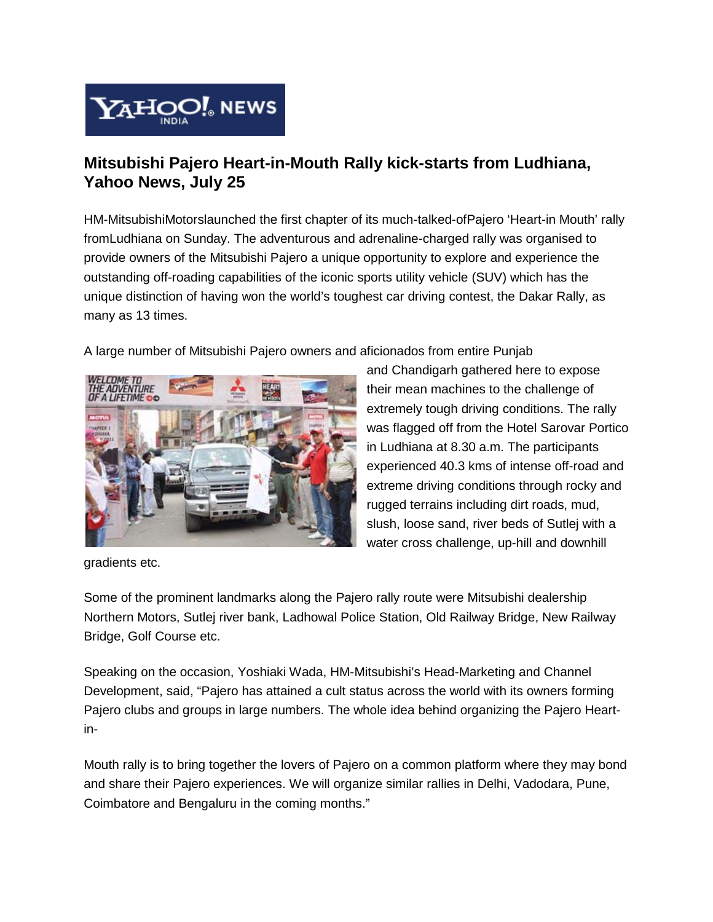

## **Mitsubishi Pajero Heart-in-Mouth Rally kick-starts from Ludhiana, Yahoo News, July 25**

HM-MitsubishiMotorslaunched the first chapter of its much-talked-ofPajero 'Heart-in Mouth' rally fromLudhiana on Sunday. The adventurous and adrenaline-charged rally was organised to provide owners of the Mitsubishi Pajero a unique opportunity to explore and experience the outstanding off-roading capabilities of the iconic sports utility vehicle (SUV) which has the unique distinction of having won the world's toughest car driving contest, the Dakar Rally, as many as 13 times.

A large number of Mitsubishi Pajero owners and aficionados from entire Punjab



and Chandigarh gathered here to expose their mean machines to the challenge of extremely tough driving conditions. The rally was flagged off from the Hotel Sarovar Portico in Ludhiana at 8.30 a.m. The participants experienced 40.3 kms of intense off-road and extreme driving conditions through rocky and rugged terrains including dirt roads, mud, slush, loose sand, river beds of Sutlej with a water cross challenge, up-hill and downhill

gradients etc.

Some of the prominent landmarks along the Pajero rally route were Mitsubishi dealership Northern Motors, Sutlej river bank, Ladhowal Police Station, Old Railway Bridge, New Railway Bridge, Golf Course etc.

Speaking on the occasion, Yoshiaki Wada, HM-Mitsubishi's Head-Marketing and Channel Development, said, "Pajero has attained a cult status across the world with its owners forming Pajero clubs and groups in large numbers. The whole idea behind organizing the Pajero Heartin-

Mouth rally is to bring together the lovers of Pajero on a common platform where they may bond and share their Pajero experiences. We will organize similar rallies in Delhi, Vadodara, Pune, Coimbatore and Bengaluru in the coming months."